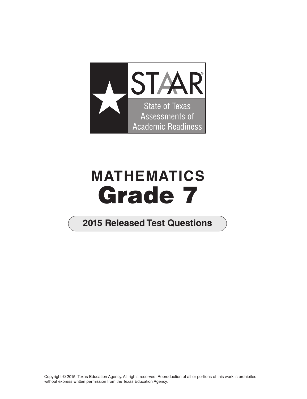

# **MATHEMATICS Grade 7**

# **2015 Released Test Questions**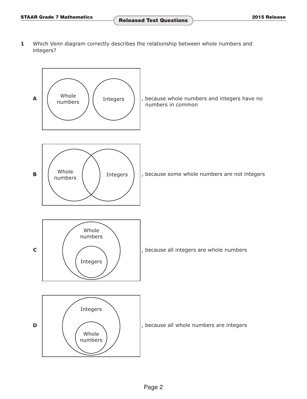**1** Which Venn diagram correctly describes the relationship between whole numbers and integers?

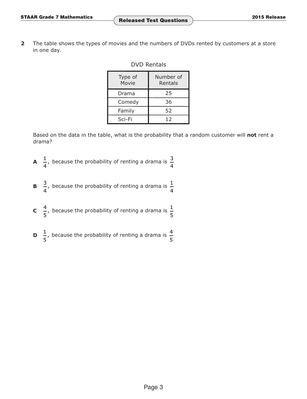**2** The table shows the types of movies and the numbers of DVDs rented by customers at a store in one day.

# DVD Rentals

| Type of<br>Movie | Number of<br>Rentals |  |  |
|------------------|----------------------|--|--|
| Drama            | 25                   |  |  |
| Comedy           | 36                   |  |  |
| Family           | 52                   |  |  |
| Sci-Fi           | 12                   |  |  |

Based on the data in the table, what is the probability that a random customer will **not** rent a drama?

- **A**  $\frac{1}{4}$ , because the probability of renting a drama is  $\frac{3}{4}$
- **B**  $\frac{3}{4}$ , because the probability of renting a drama is  $\frac{1}{4}$
- **C**  $\frac{4}{5}$ , because the probability of renting a drama is  $\frac{1}{5}$
- **D**  $\frac{1}{5}$ , because the probability of renting a drama is  $\frac{4}{5}$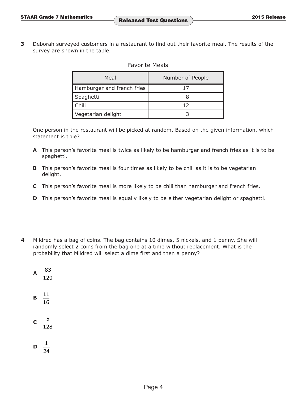**3** Deborah surveyed customers in a restaurant to find out their favorite meal. The results of the survey are shown in the table.

#### Favorite Meals

| Meal                       | Number of People |  |  |
|----------------------------|------------------|--|--|
| Hamburger and french fries |                  |  |  |
| Spaghetti                  |                  |  |  |
| Chili                      | ר 1              |  |  |
| Vegetarian delight         |                  |  |  |

One person in the restaurant will be picked at random. Based on the given information, which statement is true?

- **A** This person's favorite meal is twice as likely to be hamburger and french fries as it is to be spaghetti.
- **B** This person's favorite meal is four times as likely to be chili as it is to be vegetarian delight.
- **C** This person's favorite meal is more likely to be chili than hamburger and french fries.
- **D** This person's favorite meal is equally likely to be either vegetarian delight or spaghetti.
- **4** Mildred has a bag of coins. The bag contains 10 dimes, 5 nickels, and 1 penny. She will randomly select 2 coins from the bag one at a time without replacement. What is the probability that Mildred will select a dime first and then a penny?
	- $\mathsf{A} \quad \frac{83}{2}$ 120 **B**  $\frac{11}{2}$ 16 c  $\frac{5}{1}$ 128  $\mathsf{D} \quad \frac{1}{\cdot}$ 24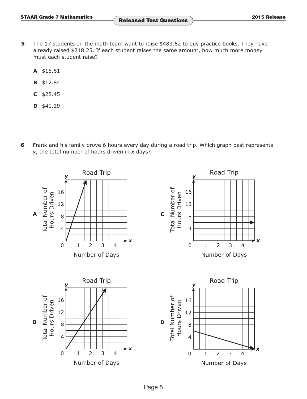- **5** The 17 students on the math team want to raise \$483.62 to buy practice books. They have already raised \$218.25. If each student raises the same amount, how much more money must each student raise?
	- **A** \$15.61
	- **B** \$12.84
	- **C** \$28.45
	- **D** \$41.29
- **6** Frank and his family drove 6 hours every day during a road trip. Which graph best represents *y*, the total number of hours driven in *x* days?

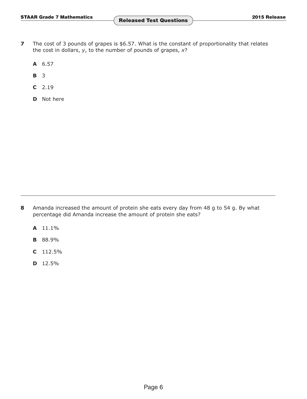- **7** The cost of 3 pounds of grapes is \$6.57. What is the constant of proportionality that relates the cost in dollars, *y*, to the number of pounds of grapes, *x*?
	- **A** 6.57
	- **B** 3
	- **C** 2.19
	- **D** Not here

- **8** Amanda increased the amount of protein she eats every day from 48 g to 54 g. By what percentage did Amanda increase the amount of protein she eats?
	- **A** 11.1%
	- **B** 88.9%
	- **C** 112.5%
	- **D** 12.5%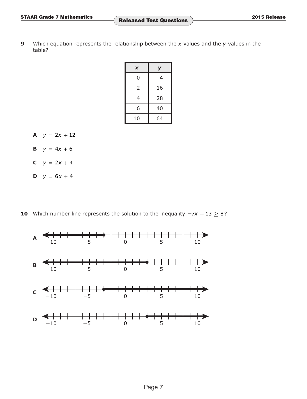**9** Which equation represents the relationship between the *x*-values and the *y*-values in the table?

| X  |    |  |  |
|----|----|--|--|
| 0  | 4  |  |  |
| 2  | 16 |  |  |
| 4  | 28 |  |  |
| 6  | 40 |  |  |
| 10 | 64 |  |  |

- **A**  $y = 2x + 12$
- **B**  $y = 4x + 6$
- **C**  $y = 2x + 4$
- **D**  $y = 6x + 4$

**10** Which number line represents the solution to the inequality  $-7x - 13 \ge 8$ ?

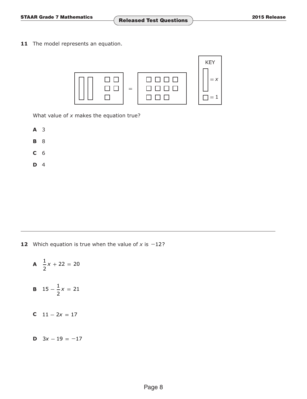11 The model represents an equation.



What value of *x* makes the equation true?

- **A** 3
- **B** 8
- **C** 6
- **D** 4

**12** Which equation is true when the value of *x* is **−**12?

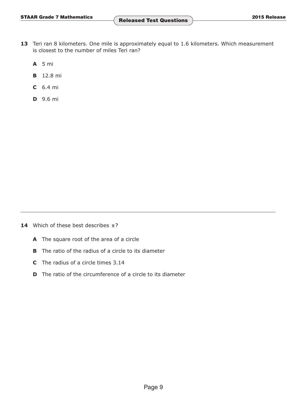- 13 Teri ran 8 kilometers. One mile is approximately equal to 1.6 kilometers. Which measurement is closest to the number of miles Teri ran?
	- **A** 5 mi
	- **B** 12.8 mi
	- **C** 6.4 mi
	- **D** 9.6 mi

**14** Which of these best describes  $\pi$ ?

- **A** The square root of the area of a circle
- **B** The ratio of the radius of a circle to its diameter
- **C** The radius of a circle times 3.14
- **D** The ratio of the circumference of a circle to its diameter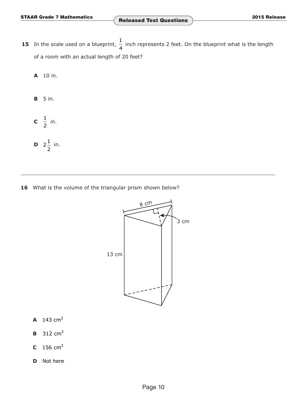- **15** In the scale used on a blueprint,  $\frac{1}{4}$  inch represents 2 feet. On the blueprint what is the length of a room with an actual length of 20 feet?
	- **A** 10 in.
	- **B** 5 in.
	- **c**  $\frac{1}{2}$  in. **D**  $2^{\frac{1}{2}}$  in.

2

16 What is the volume of the triangular prism shown below?



- **A**  $143 \text{ cm}^3$
- **B** 312 cm<sup>3</sup>
- **C** 156 cm3
- **D** Not here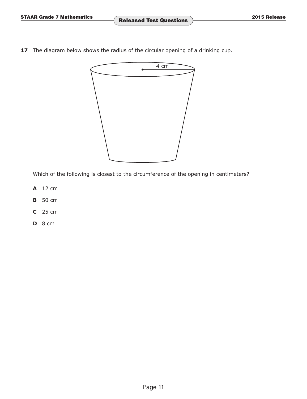**17** The diagram below shows the radius of the circular opening of a drinking cup.



Which of the following is closest to the circumference of the opening in centimeters?

- **A** 12 cm
- **B** 50 cm
- **C** 25 cm
- **D** 8 cm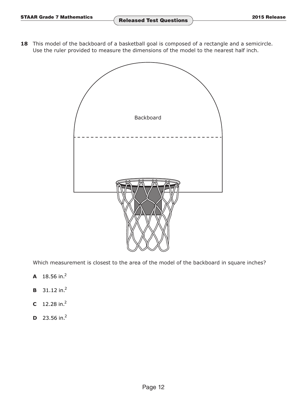18 This model of the backboard of a basketball goal is composed of a rectangle and a semicircle. Use the ruler provided to measure the dimensions of the model to the nearest half inch.



Which measurement is closest to the area of the model of the backboard in square inches?

- **A**  $18.56$  in.<sup>2</sup>
- **B**  $31.12$  in.<sup>2</sup>
- **C**  $12.28$  in.<sup>2</sup>
- **D**  $23.56$  in.<sup>2</sup>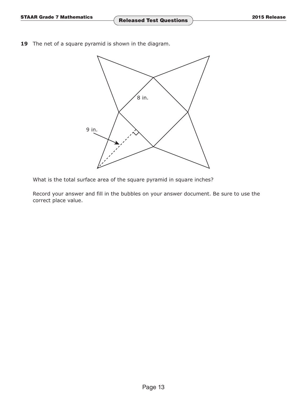**19** The net of a square pyramid is shown in the diagram.



What is the total surface area of the square pyramid in square inches?

Record your answer and fill in the bubbles on your answer document. Be sure to use the correct place value.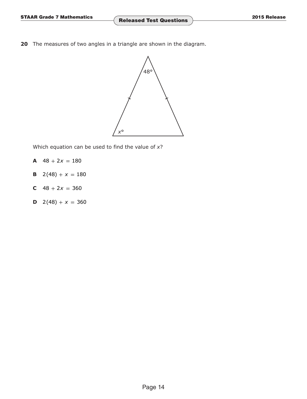**20** The measures of two angles in a triangle are shown in the diagram.



Which equation can be used to find the value of *x*?

- $A$  48 + 2*x* = 180
- **B**  $2(48) + x = 180$
- **C**  $48 + 2x = 360$
- **D**  $2(48) + x = 360$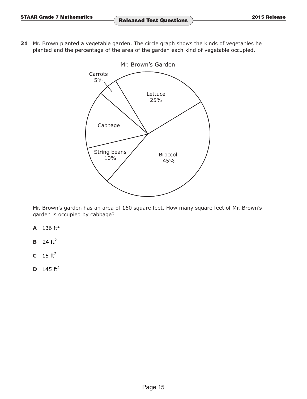**21** Mr. Brown planted a vegetable garden. The circle graph shows the kinds of vegetables he planted and the percentage of the area of the garden each kind of vegetable occupied.



Mr. Brown's garden has an area of 160 square feet. How many square feet of Mr. Brown's garden is occupied by cabbage?

- **A** 136  $ft^2$
- **B**  $24 \text{ ft}^2$
- **C**  $15 \text{ ft}^2$
- **D**  $145 \text{ ft}^2$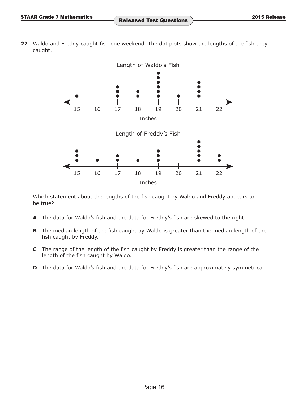**22** Waldo and Freddy caught fish one weekend. The dot plots show the lengths of the fish they caught.



Which statement about the lengths of the fish caught by Waldo and Freddy appears to be true?

- **A** The data for Waldo's fish and the data for Freddy's fish are skewed to the right.
- **B** The median length of the fish caught by Waldo is greater than the median length of the fish caught by Freddy.
- **C** The range of the length of the fish caught by Freddy is greater than the range of the length of the fish caught by Waldo.
- **D** The data for Waldo's fish and the data for Freddy's fish are approximately symmetrical.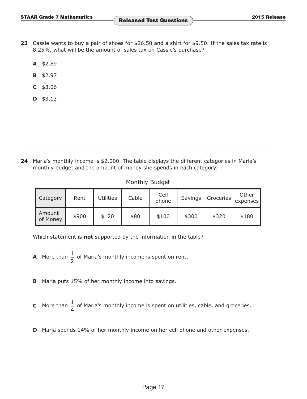- **23** Cassie wants to buy a pair of shoes for \$26.50 and a shirt for \$9.50. If the sales tax rate is 8.25%, what will be the amount of sales tax on Cassie's purchase?
	- **A** \$2.89
	- **B** \$2.97
	- **C** \$3.06
	- **D** \$3.13

**24** Maria's monthly income is \$2,000. The table displays the different categories in Maria's monthly budget and the amount of money she spends in each category.

### Monthly Budget

| Category           | Rent  | <b>Jtilities</b> | Cable | Cell<br>phone | Savings | Groceries | Other<br>expenses |
|--------------------|-------|------------------|-------|---------------|---------|-----------|-------------------|
| Amount<br>of Money | \$900 | \$120            | \$80  | \$100         | \$300   | \$320     | \$180             |

Which statement is **not** supported by the information in the table?

- **A** More than  $\frac{1}{2}$  of Maria's monthly income is spent on rent.
- **B** Maria puts 15% of her monthly income into savings.
- **C** More than  $\frac{1}{4}$  of Maria's monthly income is spent on utilities, cable, and groceries.
- **D** Maria spends 14% of her monthly income on her cell phone and other expenses.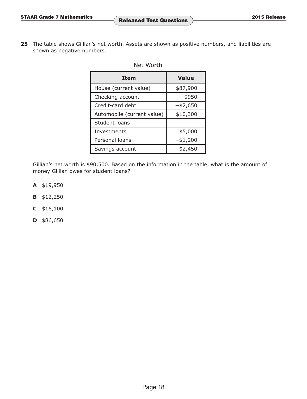25 The table shows Gillian's net worth. Assets are shown as positive numbers, and liabilities are shown as negative numbers.

# Net Worth

| <b>Item</b>                | <b>Value</b> |
|----------------------------|--------------|
| House (current value)      | \$87,900     |
| Checking account           | \$950        |
| Credit-card debt           | $-$ \$2,650  |
| Automobile (current value) | \$10,300     |
| Student loans              |              |
| Investments                | \$5,000      |
| Personal loans             | $-$ \$1,200  |
| Savings account            | \$2,450      |

Gillian's net worth is \$90,500. Based on the information in the table, what is the amount of money Gillian owes for student loans?

- **A** \$19,950
- **B** \$12,250
- **C** \$16,100
- **D** \$86,650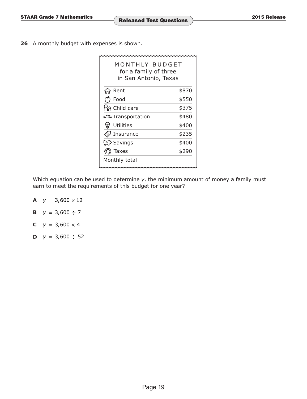**26** A monthly budget with expenses is shown.

| MONTHLY BUDGET<br>for a family of three<br>in San Antonio, Texas |       |
|------------------------------------------------------------------|-------|
| Rent                                                             | \$870 |
| Food                                                             | \$550 |
| <b>AR Child care</b>                                             | \$375 |
| <b>as Transportation</b>                                         | \$480 |
| Utilities<br>A                                                   | \$400 |
| Insurance                                                        | \$235 |
| ③ Savings                                                        | \$400 |
| Taxes                                                            | \$290 |
| Monthly total                                                    |       |

Which equation can be used to determine *y*, the minimum amount of money a family must earn to meet the requirements of this budget for one year?

- **A**  $y = 3,600 \times 12$
- **B**  $y = 3,600 \div 7$
- **C**  $y = 3,600 \times 4$
- **D**  $y = 3,600 \div 52$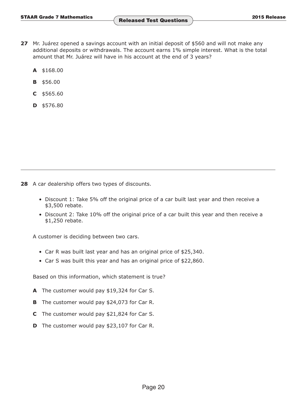- **27** Mr. Juárez opened a savings account with an initial deposit of \$560 and will not make any additional deposits or withdrawals. The account earns 1% simple interest. What is the total amount that Mr. Juárez will have in his account at the end of 3 years?
	- **A** \$168.00
	- **B** \$56.00
	- **C** \$565.60
	- **D** \$576.80

**28** A car dealership offers two types of discounts.

- Discount 1: Take 5% off the original price of a car built last year and then receive a \$3,500 rebate.
- Discount 2: Take 10% off the original price of a car built this year and then receive a \$1,250 rebate.

A customer is deciding between two cars.

- Car R was built last year and has an original price of \$25,340.
- Car S was built this year and has an original price of \$22,860.

Based on this information, which statement is true?

- **A** The customer would pay \$19,324 for Car S.
- **B** The customer would pay \$24,073 for Car R.
- **C** The customer would pay \$21,824 for Car S.
- **D** The customer would pay \$23,107 for Car R.